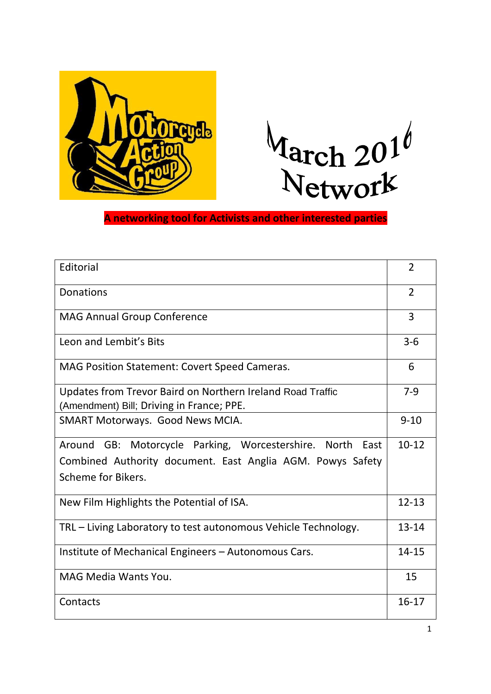



**A networking tool for Activists and other interested parties**

| Editorial                                                                                                                                     | $\overline{2}$ |
|-----------------------------------------------------------------------------------------------------------------------------------------------|----------------|
| <b>Donations</b>                                                                                                                              | $\overline{2}$ |
| <b>MAG Annual Group Conference</b>                                                                                                            | $\overline{3}$ |
| Leon and Lembit's Bits                                                                                                                        | $3 - 6$        |
| MAG Position Statement: Covert Speed Cameras.                                                                                                 | 6              |
| Updates from Trevor Baird on Northern Ireland Road Traffic<br>(Amendment) Bill; Driving in France; PPE.                                       | $7-9$          |
| SMART Motorways. Good News MCIA.                                                                                                              | $9 - 10$       |
| Around GB: Motorcycle Parking, Worcestershire. North East<br>Combined Authority document. East Anglia AGM. Powys Safety<br>Scheme for Bikers. | $10-12$        |
| New Film Highlights the Potential of ISA.                                                                                                     | $12 - 13$      |
| TRL - Living Laboratory to test autonomous Vehicle Technology.                                                                                | $13 - 14$      |
| Institute of Mechanical Engineers - Autonomous Cars.                                                                                          | $14 - 15$      |
| MAG Media Wants You.                                                                                                                          | 15             |
| Contacts                                                                                                                                      | $16 - 17$      |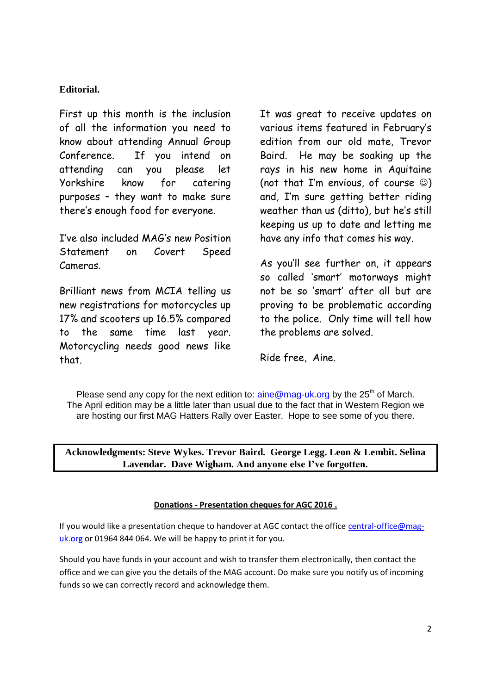### **Editorial.**

First up this month is the inclusion of all the information you need to know about attending Annual Group Conference. If you intend on attending can you please let Yorkshire know for catering purposes – they want to make sure there's enough food for everyone.

I've also included MAG's new Position Statement on Covert Speed Cameras.

Brilliant news from MCIA telling us new registrations for motorcycles up 17% and scooters up 16.5% compared to the same time last year. Motorcycling needs good news like that.

It was great to receive updates on various items featured in February's edition from our old mate, Trevor Baird. He may be soaking up the rays in his new home in Aquitaine (not that I'm envious, of course  $\circledcirc$ ) and, I'm sure getting better riding weather than us (ditto), but he's still keeping us up to date and letting me have any info that comes his way.

As you'll see further on, it appears so called 'smart' motorways might not be so 'smart' after all but are proving to be problematic according to the police. Only time will tell how the problems are solved.

Ride free, Aine.

Please send any copy for the next edition to:  $\frac{\text{a}}{\text{a}}$  mag-uk.org by the 25<sup>th</sup> of March. The April edition may be a little later than usual due to the fact that in Western Region we are hosting our first MAG Hatters Rally over Easter. Hope to see some of you there.

**Acknowledgments: Steve Wykes. Trevor Baird. George Legg. Leon & Lembit. Selina Lavendar. Dave Wigham. And anyone else I've forgotten.**

#### **Donations - Presentation cheques for AGC 2016 .**

If you would like a presentation cheque to handover at AGC contact the office [central-office@mag](mailto:central-office@mag-uk.org)[uk.org](mailto:central-office@mag-uk.org) or 01964 844 064. We will be happy to print it for you.

Should you have funds in your account and wish to transfer them electronically, then contact the office and we can give you the details of the MAG account. Do make sure you notify us of incoming funds so we can correctly record and acknowledge them.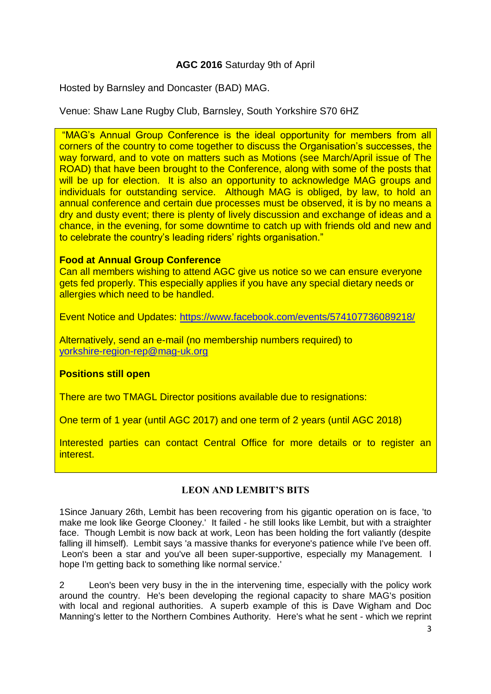### **AGC 2016** Saturday 9th of April

Hosted by Barnsley and Doncaster (BAD) MAG.

Venue: Shaw Lane Rugby Club, Barnsley, South Yorkshire S70 6HZ

"MAG"s Annual Group Conference is the ideal opportunity for members from all corners of the country to come together to discuss the Organisation"s successes, the way forward, and to vote on matters such as Motions (see March/April issue of The ROAD) that have been brought to the Conference, along with some of the posts that will be up for election. It is also an opportunity to acknowledge MAG groups and individuals for outstanding service. Although MAG is obliged, by law, to hold an annual conference and certain due processes must be observed, it is by no means a dry and dusty event; there is plenty of lively discussion and exchange of ideas and a chance, in the evening, for some downtime to catch up with friends old and new and to celebrate the country's leading riders' rights organisation."

### **Food at Annual Group Conference**

Can all members wishing to attend AGC give us notice so we can ensure everyone gets fed properly. This especially applies if you have any special dietary needs or allergies which need to be handled.

Event Notice and Updates:<https://www.facebook.com/events/574107736089218/>

Alternatively, send an e-mail (no membership numbers required) to [yorkshire-region-rep@mag-uk.org](mailto:yorkshire-region-rep@mag-uk.org)

### **Positions still open**

There are two TMAGL Director positions available due to resignations:

One term of 1 year (until AGC 2017) and one term of 2 years (until AGC 2018)

Interested parties can contact Central Office for more details or to register an interest.

# **LEON AND LEMBIT'S BITS**

1Since January 26th, Lembit has been recovering from his gigantic operation on is face, 'to make me look like George Clooney.' It failed - he still looks like Lembit, but with a straighter face. Though Lembit is now back at work, Leon has been holding the fort valiantly (despite falling ill himself). Lembit says 'a massive thanks for everyone's patience while I've been off. Leon's been a star and you've all been super-supportive, especially my Management. I hope I'm getting back to something like normal service.'

2 Leon's been very busy in the in the intervening time, especially with the policy work around the country. He's been developing the regional capacity to share MAG's position with local and regional authorities. A superb example of this is Dave Wigham and Doc Manning's letter to the Northern Combines Authority. Here's what he sent - which we reprint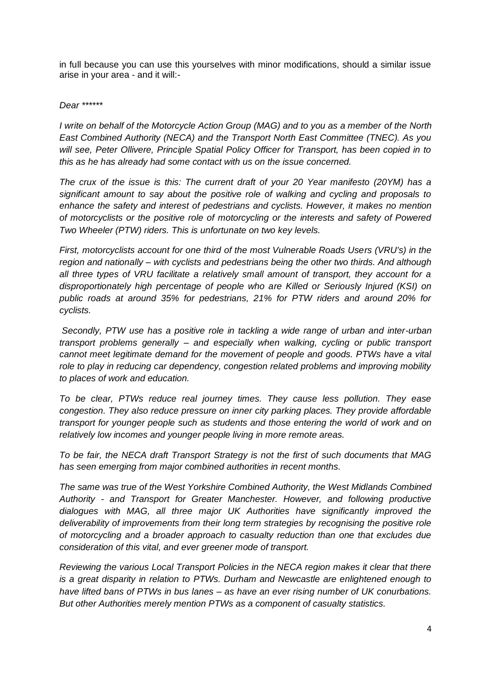in full because you can use this yourselves with minor modifications, should a similar issue arise in your area - and it will:-

#### *Dear \*\*\*\*\*\**

*I write on behalf of the Motorcycle Action Group (MAG) and to you as a member of the North East Combined Authority (NECA) and the Transport North East Committee (TNEC). As you will see, Peter Ollivere, Principle Spatial Policy Officer for Transport, has been copied in to this as he has already had some contact with us on the issue concerned.*

*The crux of the issue is this: The current draft of your 20 Year manifesto (20YM) has a significant amount to say about the positive role of walking and cycling and proposals to enhance the safety and interest of pedestrians and cyclists. However, it makes no mention of motorcyclists or the positive role of motorcycling or the interests and safety of Powered Two Wheeler (PTW) riders. This is unfortunate on two key levels.*

*First, motorcyclists account for one third of the most Vulnerable Roads Users (VRU's) in the region and nationally – with cyclists and pedestrians being the other two thirds. And although all three types of VRU facilitate a relatively small amount of transport, they account for a disproportionately high percentage of people who are Killed or Seriously Injured (KSI) on public roads at around 35% for pedestrians, 21% for PTW riders and around 20% for cyclists.*

*Secondly, PTW use has a positive role in tackling a wide range of urban and inter-urban transport problems generally – and especially when walking, cycling or public transport cannot meet legitimate demand for the movement of people and goods. PTWs have a vital role to play in reducing car dependency, congestion related problems and improving mobility to places of work and education.*

*To be clear, PTWs reduce real journey times. They cause less pollution. They ease congestion. They also reduce pressure on inner city parking places. They provide affordable transport for younger people such as students and those entering the world of work and on relatively low incomes and younger people living in more remote areas.*

*To be fair, the NECA draft Transport Strategy is not the first of such documents that MAG has seen emerging from major combined authorities in recent months.*

*The same was true of the West Yorkshire Combined Authority, the West Midlands Combined Authority - and Transport for Greater Manchester. However, and following productive dialogues with MAG, all three major UK Authorities have significantly improved the deliverability of improvements from their long term strategies by recognising the positive role of motorcycling and a broader approach to casualty reduction than one that excludes due consideration of this vital, and ever greener mode of transport.*

*Reviewing the various Local Transport Policies in the NECA region makes it clear that there is a great disparity in relation to PTWs. Durham and Newcastle are enlightened enough to have lifted bans of PTWs in bus lanes – as have an ever rising number of UK conurbations. But other Authorities merely mention PTWs as a component of casualty statistics.*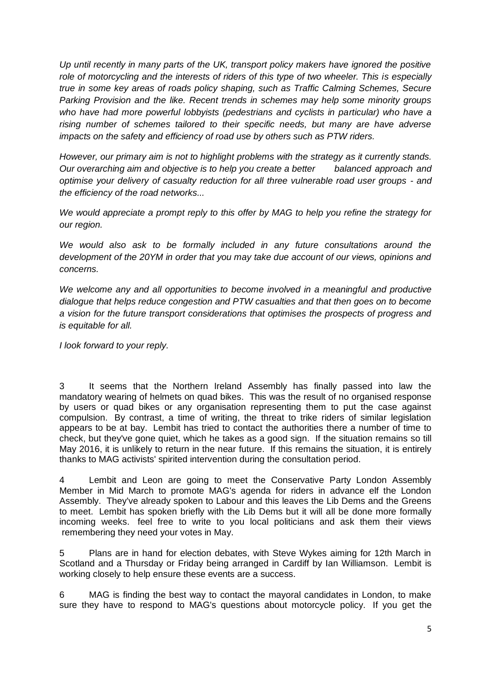*Up until recently in many parts of the UK, transport policy makers have ignored the positive role of motorcycling and the interests of riders of this type of two wheeler. This is especially true in some key areas of roads policy shaping, such as Traffic Calming Schemes, Secure Parking Provision and the like. Recent trends in schemes may help some minority groups*  who have had more powerful lobbyists (pedestrians and cyclists in particular) who have a *rising number of schemes tailored to their specific needs, but many are have adverse impacts on the safety and efficiency of road use by others such as PTW riders.*

*However, our primary aim is not to highlight problems with the strategy as it currently stands. Our overarching aim and objective is to help you create a better balanced approach and optimise your delivery of casualty reduction for all three vulnerable road user groups - and the efficiency of the road networks...*

*We would appreciate a prompt reply to this offer by MAG to help you refine the strategy for our region.*

We would also ask to be formally included in any future consultations around the *development of the 20YM in order that you may take due account of our views, opinions and concerns.*

*We welcome any and all opportunities to become involved in a meaningful and productive dialogue that helps reduce congestion and PTW casualties and that then goes on to become a vision for the future transport considerations that optimises the prospects of progress and is equitable for all.*

*I look forward to your reply.*

3 It seems that the Northern Ireland Assembly has finally passed into law the mandatory wearing of helmets on quad bikes. This was the result of no organised response by users or quad bikes or any organisation representing them to put the case against compulsion. By contrast, a time of writing, the threat to trike riders of similar legislation appears to be at bay. Lembit has tried to contact the authorities there a number of time to check, but they've gone quiet, which he takes as a good sign. If the situation remains so till May 2016, it is unlikely to return in the near future. If this remains the situation, it is entirely thanks to MAG activists' spirited intervention during the consultation period.

4 Lembit and Leon are going to meet the Conservative Party London Assembly Member in Mid March to promote MAG's agenda for riders in advance elf the London Assembly. They've already spoken to Labour and this leaves the Lib Dems and the Greens to meet. Lembit has spoken briefly with the Lib Dems but it will all be done more formally incoming weeks. feel free to write to you local politicians and ask them their views remembering they need your votes in May.

5 Plans are in hand for election debates, with Steve Wykes aiming for 12th March in Scotland and a Thursday or Friday being arranged in Cardiff by Ian Williamson. Lembit is working closely to help ensure these events are a success.

6 MAG is finding the best way to contact the mayoral candidates in London, to make sure they have to respond to MAG's questions about motorcycle policy. If you get the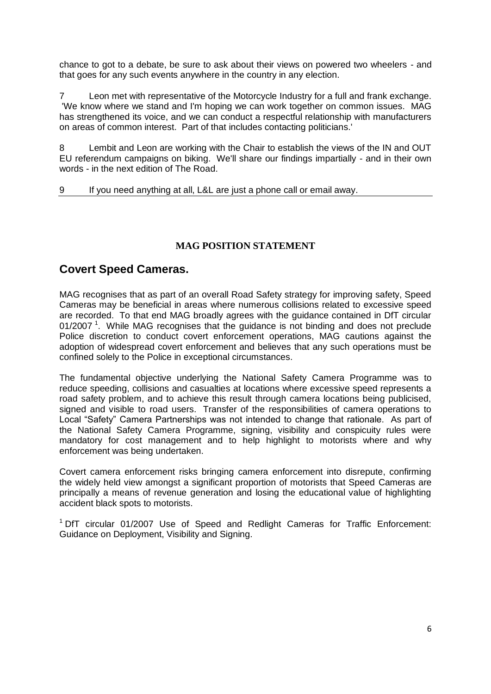chance to got to a debate, be sure to ask about their views on powered two wheelers - and that goes for any such events anywhere in the country in any election.

7 Leon met with representative of the Motorcycle Industry for a full and frank exchange. 'We know where we stand and I'm hoping we can work together on common issues. MAG has strengthened its voice, and we can conduct a respectful relationship with manufacturers on areas of common interest. Part of that includes contacting politicians.'

8 Lembit and Leon are working with the Chair to establish the views of the IN and OUT EU referendum campaigns on biking. We'll share our findings impartially - and in their own words - in the next edition of The Road.

#### 9 If you need anything at all, L&L are just a phone call or email away.

### **MAG POSITION STATEMENT**

### **Covert Speed Cameras.**

MAG recognises that as part of an overall Road Safety strategy for improving safety, Speed Cameras may be beneficial in areas where numerous collisions related to excessive speed are recorded. To that end MAG broadly agrees with the guidance contained in DfT circular 01/2007<sup>1</sup>. While MAG recognises that the guidance is not binding and does not preclude Police discretion to conduct covert enforcement operations, MAG cautions against the adoption of widespread covert enforcement and believes that any such operations must be confined solely to the Police in exceptional circumstances.

The fundamental objective underlying the National Safety Camera Programme was to reduce speeding, collisions and casualties at locations where excessive speed represents a road safety problem, and to achieve this result through camera locations being publicised, signed and visible to road users. Transfer of the responsibilities of camera operations to Local "Safety" Camera Partnerships was not intended to change that rationale. As part of the National Safety Camera Programme, signing, visibility and conspicuity rules were mandatory for cost management and to help highlight to motorists where and why enforcement was being undertaken.

Covert camera enforcement risks bringing camera enforcement into disrepute, confirming the widely held view amongst a significant proportion of motorists that Speed Cameras are principally a means of revenue generation and losing the educational value of highlighting accident black spots to motorists.

<sup>1</sup> DfT circular 01/2007 Use of Speed and Redlight Cameras for Traffic Enforcement: Guidance on Deployment, Visibility and Signing.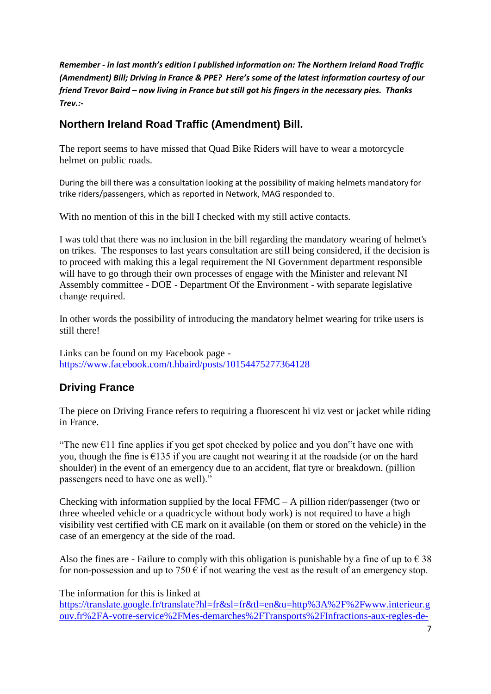*Remember - in last month's edition I published information on: The Northern Ireland Road Traffic (Amendment) Bill; Driving in France & PPE? Here's some of the latest information courtesy of our friend Trevor Baird – now living in France but still got his fingers in the necessary pies. Thanks Trev.:-*

# **Northern Ireland Road Traffic (Amendment) Bill.**

The report seems to have missed that Quad Bike Riders will have to wear a motorcycle helmet on public roads.

During the bill there was a consultation looking at the possibility of making helmets mandatory for trike riders/passengers, which as reported in Network, MAG responded to.

With no mention of this in the bill I checked with my still active contacts.

I was told that there was no inclusion in the bill regarding the mandatory wearing of helmet's on trikes. The responses to last years consultation are still being considered, if the decision is to proceed with making this a legal requirement the NI Government department responsible will have to go through their own processes of engage with the Minister and relevant NI Assembly committee - DOE - Department Of the Environment - with separate legislative change required.

In other words the possibility of introducing the mandatory helmet wearing for trike users is still there!

Links can be found on my Facebook page <https://www.facebook.com/t.hbaird/posts/10154475277364128>

# **Driving France**

The piece on Driving France refers to requiring a fluorescent hi viz vest or jacket while riding in France.

"The new  $\epsilon$ 11 fine applies if you get spot checked by police and you don"t have one with you, though the fine is  $\epsilon$ 135 if you are caught not wearing it at the roadside (or on the hard shoulder) in the event of an emergency due to an accident, flat tyre or breakdown. (pillion passengers need to have one as well)."

Checking with information supplied by the local FFMC – A pillion rider/passenger (two or three wheeled vehicle or a quadricycle without body work) is not required to have a high visibility vest certified with CE mark on it available (on them or stored on the vehicle) in the case of an emergency at the side of the road.

Also the fines are - Failure to comply with this obligation is punishable by a fine of up to  $\epsilon$  38 for non-possession and up to 750  $\epsilon$  if not wearing the vest as the result of an emergency stop.

The information for this is linked at

[https://translate.google.fr/translate?hl=fr&sl=fr&tl=en&u=http%3A%2F%2Fwww.interieur.g](https://translate.google.fr/translate?hl=fr&sl=fr&tl=en&u=http%3A%2F%2Fwww.interieur.gouv.fr%2FA-votre-service%2FMes-demarches%2FTransports%2FInfractions-aux-regles-de-securite-routiere%2FRegles-generales-de-securite-routiere%2FEquipements-a-bord-d-un-vehicule-gilet-de-securite-ethylotest-casque%23sp-chapitre-gilet-de-haute-visibilite) [ouv.fr%2FA-votre-service%2FMes-demarches%2FTransports%2FInfractions-aux-regles-de-](https://translate.google.fr/translate?hl=fr&sl=fr&tl=en&u=http%3A%2F%2Fwww.interieur.gouv.fr%2FA-votre-service%2FMes-demarches%2FTransports%2FInfractions-aux-regles-de-securite-routiere%2FRegles-generales-de-securite-routiere%2FEquipements-a-bord-d-un-vehicule-gilet-de-securite-ethylotest-casque%23sp-chapitre-gilet-de-haute-visibilite)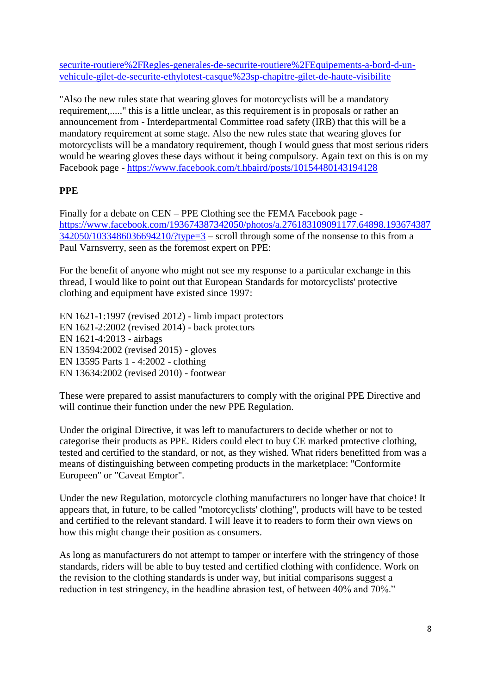securite-routiere%2FRegles-generales-de-securite-routiere%2FEquipements-a-bord-d-unvehicule-gilet-de-securite-ethylotest-casque%23sp-chapitre-gilet-de-haute-visibilite

"Also the new rules state that wearing gloves for motorcyclists will be a mandatory requirement,....." this is a little unclear, as this requirement is in proposals or rather an announcement from - Interdepartmental Committee road safety (IRB) that this will be a mandatory requirement at some stage. Also the new rules state that wearing gloves for motorcyclists will be a mandatory requirement, though I would guess that most serious riders would be wearing gloves these days without it being compulsory. Again text on this is on my Facebook page - <https://www.facebook.com/t.hbaird/posts/10154480143194128>

# **PPE**

Finally for a debate on CEN – PPE Clothing see the FEMA Facebook page [https://www.facebook.com/193674387342050/photos/a.276183109091177.64898.193674387](https://www.facebook.com/193674387342050/photos/a.276183109091177.64898.193674387342050/1033486036694210/?type=3)  $342050/1033486036694210$ /?type= $3$  – scroll through some of the nonsense to this from a Paul Varnsverry, seen as the foremost expert on PPE:

For the benefit of anyone who might not see my response to a particular exchange in this thread, I would like to point out that European Standards for motorcyclists' protective clothing and equipment have existed since 1997:

EN 1621-1:1997 (revised 2012) - limb impact protectors EN 1621-2:2002 (revised 2014) - back protectors EN 1621-4:2013 - airbags EN 13594:2002 (revised 2015) - gloves EN 13595 Parts 1 - 4:2002 - clothing EN 13634:2002 (revised 2010) - footwear

These were prepared to assist manufacturers to comply with the original PPE Directive and will continue their function under the new PPE Regulation.

Under the original Directive, it was left to manufacturers to decide whether or not to categorise their products as PPE. Riders could elect to buy CE marked protective clothing, tested and certified to the standard, or not, as they wished. What riders benefitted from was a means of distinguishing between competing products in the marketplace: "Conformite Europeen" or "Caveat Emptor".

Under the new Regulation, motorcycle clothing manufacturers no longer have that choice! It appears that, in future, to be called "motorcyclists' clothing", products will have to be tested and certified to the relevant standard. I will leave it to readers to form their own views on how this might change their position as consumers.

As long as manufacturers do not attempt to tamper or interfere with the stringency of those standards, riders will be able to buy tested and certified clothing with confidence. Work on the revision to the clothing standards is under way, but initial comparisons suggest a reduction in test stringency, in the headline abrasion test, of between 40% and 70%."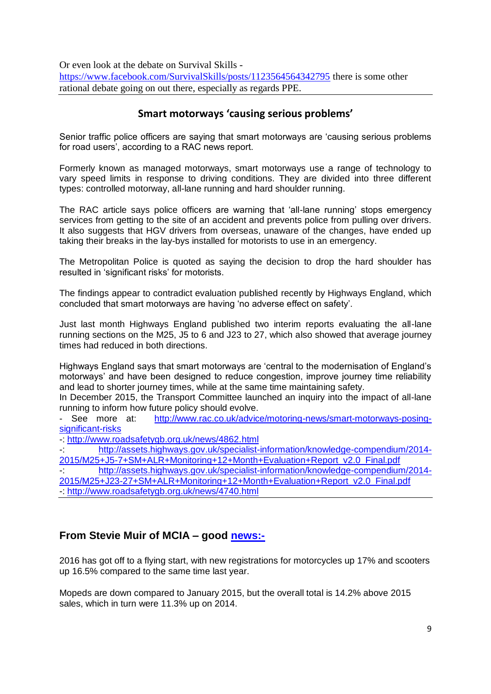Or even look at the debate on Survival Skills <https://www.facebook.com/SurvivalSkills/posts/1123564564342795> there is some other rational debate going on out there, especially as regards PPE.

# **Smart motorways 'causing serious problems'**

Senior traffic police officers are saying that smart motorways are "causing serious problems for road users', according to a RAC news report.

Formerly known as managed motorways, smart motorways use a range of technology to vary speed limits in response to driving conditions. They are divided into three different types: controlled motorway, all-lane running and hard shoulder running.

The RAC article says police officers are warning that "all-lane running" stops emergency services from getting to the site of an accident and prevents police from pulling over drivers. It also suggests that HGV drivers from overseas, unaware of the changes, have ended up taking their breaks in the lay-bys installed for motorists to use in an emergency.

The Metropolitan Police is quoted as saying the decision to drop the hard shoulder has resulted in 'significant risks' for motorists.

The findings appear to contradict evaluation published recently by Highways England, which concluded that smart motorways are having "no adverse effect on safety".

Just last month Highways England published two interim reports evaluating the all-lane running sections on the M25, J5 to 6 and J23 to 27, which also showed that average journey times had reduced in both directions.

Highways England says that smart motorways are "central to the modernisation of England"s motorways" and have been designed to reduce congestion, improve journey time reliability and lead to shorter journey times, while at the same time maintaining safety.

In December 2015, the Transport Committee launched an inquiry into the impact of all-lane running to inform how future policy should evolve.

- See more at: [http://www.rac.co.uk/advice/motoring-news/smart-motorways-posing](http://www.rac.co.uk/advice/motoring-news/smart-motorways-posing-significant-risks)[significant-risks](http://www.rac.co.uk/advice/motoring-news/smart-motorways-posing-significant-risks)

-:<http://www.roadsafetygb.org.uk/news/4862.html>

-: [http://assets.highways.gov.uk/specialist-information/knowledge-compendium/2014-](http://assets.highways.gov.uk/specialist-information/knowledge-compendium/2014-2015/M25+J5-7+SM+ALR+Monitoring+12+Month+Evaluation+Report_v2.0_Final.pdf) [2015/M25+J5-7+SM+ALR+Monitoring+12+Month+Evaluation+Report\\_v2.0\\_Final.pdf](http://assets.highways.gov.uk/specialist-information/knowledge-compendium/2014-2015/M25+J5-7+SM+ALR+Monitoring+12+Month+Evaluation+Report_v2.0_Final.pdf)

-: [http://assets.highways.gov.uk/specialist-information/knowledge-compendium/2014-](http://assets.highways.gov.uk/specialist-information/knowledge-compendium/2014-2015/M25+J23-27+SM+ALR+Monitoring+12+Month+Evaluation+Report_v2.0_Final.pdf) [2015/M25+J23-27+SM+ALR+Monitoring+12+Month+Evaluation+Report\\_v2.0\\_Final.pdf](http://assets.highways.gov.uk/specialist-information/knowledge-compendium/2014-2015/M25+J23-27+SM+ALR+Monitoring+12+Month+Evaluation+Report_v2.0_Final.pdf) -:<http://www.roadsafetygb.org.uk/news/4740.html>

# **From Stevie Muir of MCIA – good<news:->**

2016 has got off to a flying start, with new registrations for motorcycles up 17% and scooters up 16.5% compared to the same time last year.

Mopeds are down compared to January 2015, but the overall total is 14.2% above 2015 sales, which in turn were 11.3% up on 2014.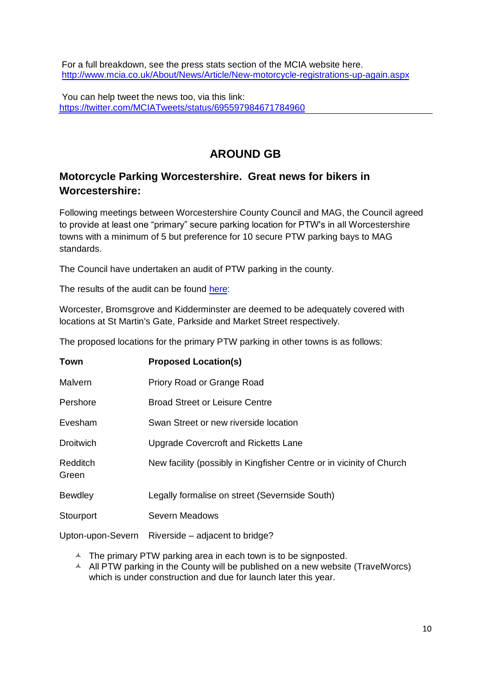For a full breakdown, see the press stats section of the MCIA website here. <http://www.mcia.co.uk/About/News/Article/New-motorcycle-registrations-up-again.aspx>

You can help tweet the news too, via this link: <https://twitter.com/MCIATweets/status/695597984671784960>

# **AROUND GB**

# **Motorcycle Parking Worcestershire. Great news for bikers in Worcestershire:**

Following meetings between Worcestershire County Council and MAG, the Council agreed to provide at least one "primary" secure parking location for PTW's in all Worcestershire towns with a minimum of 5 but preference for 10 secure PTW parking bays to MAG standards.

The Council have undertaken an audit of PTW parking in the county.

The results of the audit can be found [here:](http://west-midlands-region.mag-uk.org/assets/Worcestershire-Motorcycle-Parkingx.pdf)

Worcester, Bromsgrove and Kidderminster are deemed to be adequately covered with locations at St Martin's Gate, Parkside and Market Street respectively.

The proposed locations for the primary PTW parking in other towns is as follows:

| <b>Town</b>       | <b>Proposed Location(s)</b>                                          |
|-------------------|----------------------------------------------------------------------|
| Malvern           | Priory Road or Grange Road                                           |
| Pershore          | <b>Broad Street or Leisure Centre</b>                                |
| Evesham           | Swan Street or new riverside location                                |
| <b>Droitwich</b>  | Upgrade Covercroft and Ricketts Lane                                 |
| Redditch<br>Green | New facility (possibly in Kingfisher Centre or in vicinity of Church |
| <b>Bewdley</b>    | Legally formalise on street (Severnside South)                       |
| Stourport         | <b>Severn Meadows</b>                                                |
| Upton-upon-Severn | Riverside – adjacent to bridge?                                      |

- A The primary PTW parking area in each town is to be signposted.
- $\triangle$  All PTW parking in the County will be published on a new website (TravelWorcs) which is under construction and due for launch later this year.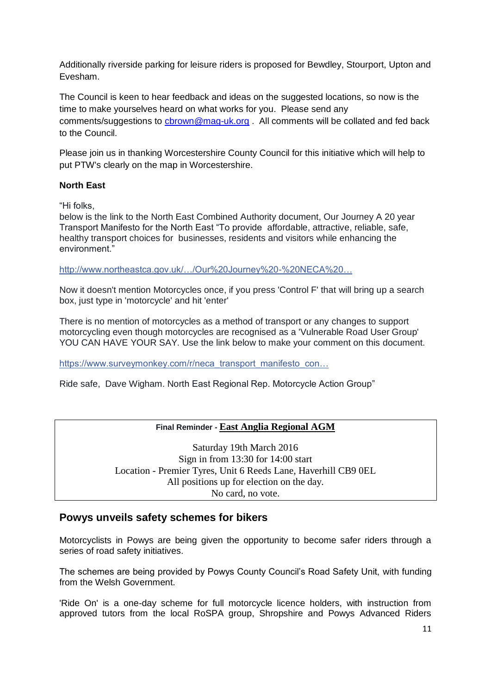Additionally riverside parking for leisure riders is proposed for Bewdley, Stourport, Upton and Evesham.

The Council is keen to hear feedback and ideas on the suggested locations, so now is the time to make yourselves heard on what works for you. Please send any comments/suggestions to chrown@mag-uk.org . All comments will be collated and fed back to the Council.

Please join us in thanking Worcestershire County Council for this initiative which will help to put PTW's clearly on the map in Worcestershire.

#### **North East**

"Hi folks,

below is the link to the North East Combined Authority document, Our Journey A 20 year Transport Manifesto for the North East "To provide affordable, attractive, reliable, safe, healthy transport choices for businesses, residents and visitors while enhancing the environment."

[http://www.northeastca.gov.uk/…/Our%20Journey%20-%20NECA%20…](http://www.northeastca.gov.uk/sites/default/files/file_attachments/Our%20Journey%20-%20NECA%20Transport%20Manifesto.pdf)

Now it doesn't mention Motorcycles once, if you press 'Control F' that will bring up a search box, just type in 'motorcycle' and hit 'enter'

There is no mention of motorcycles as a method of transport or any changes to support motorcycling even though motorcycles are recognised as a 'Vulnerable Road User Group' YOU CAN HAVE YOUR SAY. Use the link below to make your comment on this document.

[https://www.surveymonkey.com/r/neca\\_transport\\_manifesto\\_con…](https://www.surveymonkey.com/r/neca_transport_manifesto_consultation)

Ride safe, Dave Wigham. North East Regional Rep. Motorcycle Action Group"

#### **Final Reminder - East Anglia Regional AGM**

Saturday 19th March 2016 Sign in from 13:30 for 14:00 start Location - Premier Tyres, Unit 6 Reeds Lane, Haverhill CB9 0EL All positions up for election on the day. No card, no vote.

#### **Powys unveils safety schemes for bikers**

Motorcyclists in Powys are being given the opportunity to become safer riders through a series of road safety initiatives.

The schemes are being provided by Powys County Council"s Road Safety Unit, with funding from the Welsh Government.

'Ride On' is a one-day scheme for full motorcycle licence holders, with instruction from approved tutors from the local RoSPA group, Shropshire and Powys Advanced Riders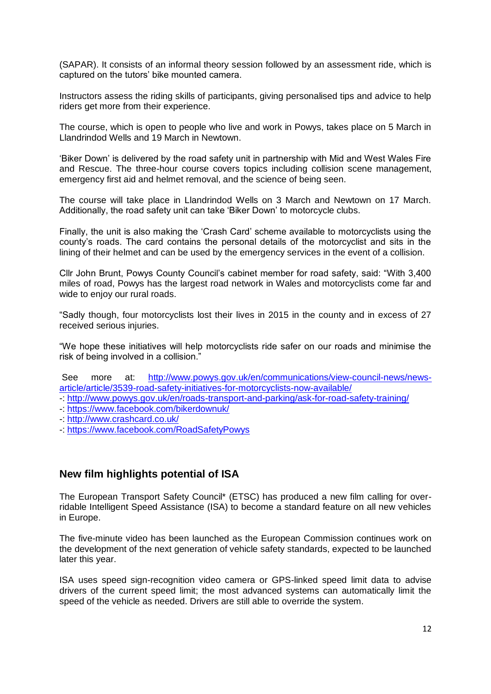(SAPAR). It consists of an informal theory session followed by an assessment ride, which is captured on the tutors" bike mounted camera.

Instructors assess the riding skills of participants, giving personalised tips and advice to help riders get more from their experience.

The course, which is open to people who live and work in Powys, takes place on 5 March in Llandrindod Wells and 19 March in Newtown.

"Biker Down" is delivered by the road safety unit in partnership with Mid and West Wales Fire and Rescue. The three-hour course covers topics including collision scene management, emergency first aid and helmet removal, and the science of being seen.

The course will take place in Llandrindod Wells on 3 March and Newtown on 17 March. Additionally, the road safety unit can take "Biker Down" to motorcycle clubs.

Finally, the unit is also making the "Crash Card" scheme available to motorcyclists using the county"s roads. The card contains the personal details of the motorcyclist and sits in the lining of their helmet and can be used by the emergency services in the event of a collision.

Cllr John Brunt, Powys County Council"s cabinet member for road safety, said: "With 3,400 miles of road, Powys has the largest road network in Wales and motorcyclists come far and wide to enjoy our rural roads.

"Sadly though, four motorcyclists lost their lives in 2015 in the county and in excess of 27 received serious injuries.

"We hope these initiatives will help motorcyclists ride safer on our roads and minimise the risk of being involved in a collision."

See more at: [http://www.powys.gov.uk/en/communications/view-council-news/news](http://www.powys.gov.uk/en/communications/view-council-news/news-article/article/3539-road-safety-initiatives-for-motorcyclists-now-available/)[article/article/3539-road-safety-initiatives-for-motorcyclists-now-available/](http://www.powys.gov.uk/en/communications/view-council-news/news-article/article/3539-road-safety-initiatives-for-motorcyclists-now-available/)

- -:<http://www.powys.gov.uk/en/roads-transport-and-parking/ask-for-road-safety-training/>
- -:<https://www.facebook.com/bikerdownuk/>
- -:<http://www.crashcard.co.uk/>
- -:<https://www.facebook.com/RoadSafetyPowys>

### **New film highlights potential of ISA**

The European Transport Safety Council\* (ETSC) has produced a new film calling for overridable Intelligent Speed Assistance (ISA) to become a standard feature on all new vehicles in Europe.

The five-minute video has been launched as the European Commission continues work on the development of the next generation of vehicle safety standards, expected to be launched later this year.

ISA uses speed sign-recognition video camera or GPS-linked speed limit data to advise drivers of the current speed limit; the most advanced systems can automatically limit the speed of the vehicle as needed. Drivers are still able to override the system.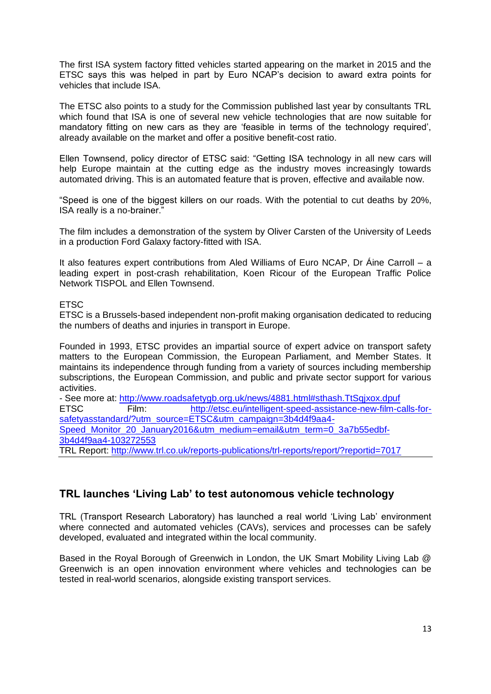The first ISA system factory fitted vehicles started appearing on the market in 2015 and the ETSC says this was helped in part by Euro NCAP"s decision to award extra points for vehicles that include ISA.

The ETSC also points to a study for the Commission published last year by consultants TRL which found that ISA is one of several new vehicle technologies that are now suitable for mandatory fitting on new cars as they are "feasible in terms of the technology required", already available on the market and offer a positive benefit-cost ratio.

Ellen Townsend, policy director of ETSC said: "Getting ISA technology in all new cars will help Europe maintain at the cutting edge as the industry moves increasingly towards automated driving. This is an automated feature that is proven, effective and available now.

"Speed is one of the biggest killers on our roads. With the potential to cut deaths by 20%, ISA really is a no-brainer."

The film includes a demonstration of the system by Oliver Carsten of the University of Leeds in a production Ford Galaxy factory-fitted with ISA.

It also features expert contributions from Aled Williams of Euro NCAP, Dr Áine Carroll – a leading expert in post-crash rehabilitation, Koen Ricour of the European Traffic Police Network TISPOL and Ellen Townsend.

#### **FTSC**

ETSC is a Brussels-based independent non-profit making organisation dedicated to reducing the numbers of deaths and injuries in transport in Europe.

Founded in 1993, ETSC provides an impartial source of expert advice on transport safety matters to the European Commission, the European Parliament, and Member States. It maintains its independence through funding from a variety of sources including membership subscriptions, the European Commission, and public and private sector support for various activities.

| - See more at: http://www.roadsafetygb.org.uk/news/4881.html#sthash.TtSqjxox.dpuf |       |                                                                                         |  |  |  |
|-----------------------------------------------------------------------------------|-------|-----------------------------------------------------------------------------------------|--|--|--|
| <b>ETSC</b>                                                                       | Film: | http://etsc.eu/intelligent-speed-assistance-new-film-calls-for-                         |  |  |  |
| safetyasstandard/?utm_source=ETSC&utm_campaign=3b4d4f9aa4-                        |       |                                                                                         |  |  |  |
| Speed_Monitor_20_January2016&utm_medium=email&utm_term=0_3a7b55edbf-              |       |                                                                                         |  |  |  |
| 3b4d4f9aa4-103272553                                                              |       |                                                                                         |  |  |  |
|                                                                                   |       | TRL Report: http://www.trl.co.uk/reports-publications/trl-reports/report/?reportid=7017 |  |  |  |

# **TRL launches 'Living Lab' to test autonomous vehicle technology**

TRL (Transport Research Laboratory) has launched a real world "Living Lab" environment where connected and automated vehicles (CAVs), services and processes can be safely developed, evaluated and integrated within the local community.

Based in the Royal Borough of Greenwich in London, the UK Smart Mobility Living Lab @ Greenwich is an open innovation environment where vehicles and technologies can be tested in real-world scenarios, alongside existing transport services.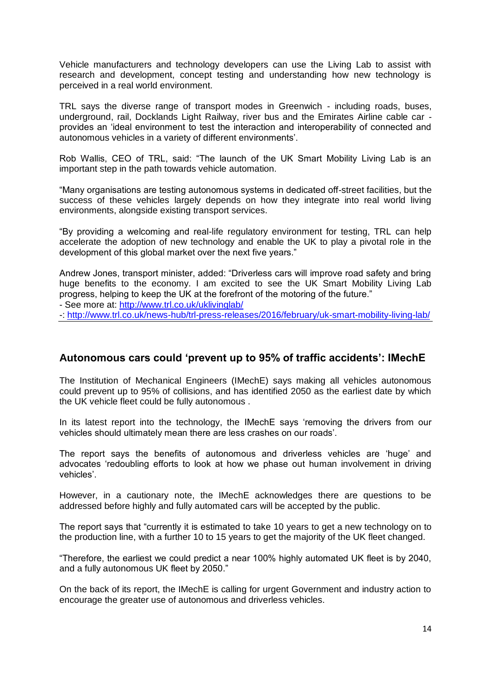Vehicle manufacturers and technology developers can use the Living Lab to assist with research and development, concept testing and understanding how new technology is perceived in a real world environment.

TRL says the diverse range of transport modes in Greenwich - including roads, buses, underground, rail, Docklands Light Railway, river bus and the Emirates Airline cable car provides an "ideal environment to test the interaction and interoperability of connected and autonomous vehicles in a variety of different environments'.

Rob Wallis, CEO of TRL, said: "The launch of the UK Smart Mobility Living Lab is an important step in the path towards vehicle automation.

"Many organisations are testing autonomous systems in dedicated off-street facilities, but the success of these vehicles largely depends on how they integrate into real world living environments, alongside existing transport services.

"By providing a welcoming and real-life regulatory environment for testing, TRL can help accelerate the adoption of new technology and enable the UK to play a pivotal role in the development of this global market over the next five years."

Andrew Jones, transport minister, added: "Driverless cars will improve road safety and bring huge benefits to the economy. I am excited to see the UK Smart Mobility Living Lab progress, helping to keep the UK at the forefront of the motoring of the future."

- See more at:<http://www.trl.co.uk/uklivinglab/>

-:<http://www.trl.co.uk/news-hub/trl-press-releases/2016/february/uk-smart-mobility-living-lab/>

### **Autonomous cars could 'prevent up to 95% of traffic accidents': IMechE**

The Institution of Mechanical Engineers (IMechE) says making all vehicles autonomous could prevent up to 95% of collisions, and has identified 2050 as the earliest date by which the UK vehicle fleet could be fully autonomous .

In its latest report into the technology, the IMechE says 'removing the drivers from our vehicles should ultimately mean there are less crashes on our roads".

The report says the benefits of autonomous and driverless vehicles are "huge" and advocates "redoubling efforts to look at how we phase out human involvement in driving vehicles".

However, in a cautionary note, the IMechE acknowledges there are questions to be addressed before highly and fully automated cars will be accepted by the public.

The report says that "currently it is estimated to take 10 years to get a new technology on to the production line, with a further 10 to 15 years to get the majority of the UK fleet changed.

"Therefore, the earliest we could predict a near 100% highly automated UK fleet is by 2040, and a fully autonomous UK fleet by 2050."

On the back of its report, the IMechE is calling for urgent Government and industry action to encourage the greater use of autonomous and driverless vehicles.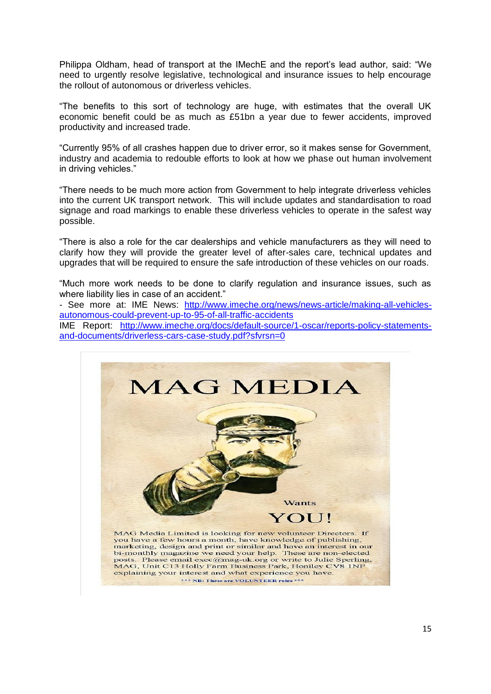Philippa Oldham, head of transport at the IMechE and the report"s lead author, said: "We need to urgently resolve legislative, technological and insurance issues to help encourage the rollout of autonomous or driverless vehicles.

"The benefits to this sort of technology are huge, with estimates that the overall UK economic benefit could be as much as £51bn a year due to fewer accidents, improved productivity and increased trade.

"Currently 95% of all crashes happen due to driver error, so it makes sense for Government, industry and academia to redouble efforts to look at how we phase out human involvement in driving vehicles."

"There needs to be much more action from Government to help integrate driverless vehicles into the current UK transport network. This will include updates and standardisation to road signage and road markings to enable these driverless vehicles to operate in the safest way possible.

"There is also a role for the car dealerships and vehicle manufacturers as they will need to clarify how they will provide the greater level of after-sales care, technical updates and upgrades that will be required to ensure the safe introduction of these vehicles on our roads.

"Much more work needs to be done to clarify regulation and insurance issues, such as where liability lies in case of an accident."

- See more at: IME News: [http://www.imeche.org/news/news-article/making-all-vehicles](http://www.imeche.org/news/news-article/making-all-vehicles-autonomous-could-prevent-up-to-95-of-all-traffic-accidents)[autonomous-could-prevent-up-to-95-of-all-traffic-accidents](http://www.imeche.org/news/news-article/making-all-vehicles-autonomous-could-prevent-up-to-95-of-all-traffic-accidents)

IME Report: [http://www.imeche.org/docs/default-source/1-oscar/reports-policy-statements](http://www.imeche.org/docs/default-source/1-oscar/reports-policy-statements-and-documents/driverless-cars-case-study.pdf?sfvrsn=0)[and-documents/driverless-cars-case-study.pdf?sfvrsn=0](http://www.imeche.org/docs/default-source/1-oscar/reports-policy-statements-and-documents/driverless-cars-case-study.pdf?sfvrsn=0)

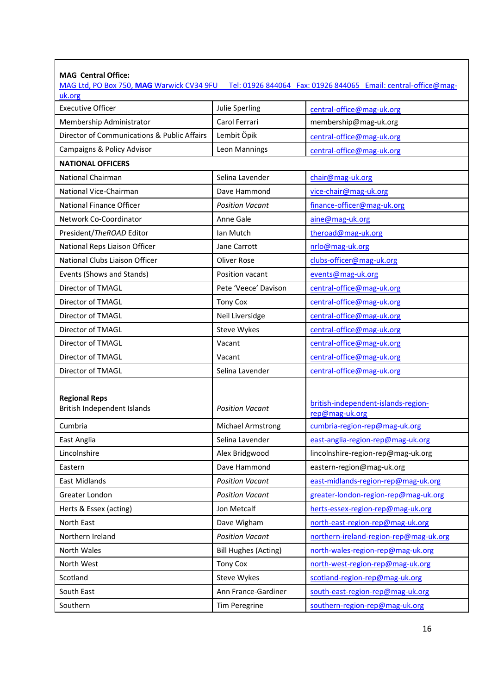| <b>MAG Central Office:</b><br>MAG Ltd, PO Box 750, MAG Warwick CV34 9FU |                             | Tel: 01926 844064  Fax: 01926 844065  Email: central-office@mag- |
|-------------------------------------------------------------------------|-----------------------------|------------------------------------------------------------------|
| uk.org                                                                  |                             |                                                                  |
| <b>Executive Officer</b>                                                | Julie Sperling              | central-office@mag-uk.org                                        |
| Membership Administrator                                                | Carol Ferrari               | membership@mag-uk.org                                            |
| Director of Communications & Public Affairs                             | Lembit Öpik                 | central-office@mag-uk.org                                        |
| Campaigns & Policy Advisor                                              | Leon Mannings               | central-office@mag-uk.org                                        |
| <b>NATIONAL OFFICERS</b>                                                |                             |                                                                  |
| <b>National Chairman</b>                                                | Selina Lavender             | chair@mag-uk.org                                                 |
| National Vice-Chairman                                                  | Dave Hammond                | vice-chair@mag-uk.org                                            |
| National Finance Officer                                                | <b>Position Vacant</b>      | finance-officer@mag-uk.org                                       |
| Network Co-Coordinator                                                  | Anne Gale                   | aine@mag-uk.org                                                  |
| President/TheROAD Editor                                                | Ian Mutch                   | theroad@mag-uk.org                                               |
| National Reps Liaison Officer                                           | <b>Jane Carrott</b>         | nrlo@mag-uk.org                                                  |
| National Clubs Liaison Officer                                          | Oliver Rose                 | clubs-officer@mag-uk.org                                         |
| Events (Shows and Stands)                                               | Position vacant             | events@mag-uk.org                                                |
| Director of TMAGL                                                       | Pete 'Veece' Davison        | central-office@mag-uk.org                                        |
| Director of TMAGL                                                       | <b>Tony Cox</b>             | central-office@mag-uk.org                                        |
| Director of TMAGL                                                       | Neil Liversidge             | central-office@mag-uk.org                                        |
| Director of TMAGL                                                       | <b>Steve Wykes</b>          | central-office@mag-uk.org                                        |
| Director of TMAGL                                                       | Vacant                      | central-office@mag-uk.org                                        |
| Director of TMAGL                                                       | Vacant                      | central-office@mag-uk.org                                        |
| Director of TMAGL                                                       | Selina Lavender             | central-office@mag-uk.org                                        |
| <b>Regional Reps</b><br>British Independent Islands                     | <b>Position Vacant</b>      | british-independent-islands-region-<br>rep@mag-uk.org            |
| Cumbria                                                                 | <b>Michael Armstrong</b>    | cumbria-region-rep@mag-uk.org                                    |
| East Anglia                                                             | Selina Lavender             | east-anglia-region-rep@mag-uk.org                                |
| Lincolnshire                                                            | Alex Bridgwood              | lincolnshire-region-rep@mag-uk.org                               |
| Eastern                                                                 | Dave Hammond                | eastern-region@mag-uk.org                                        |
| East Midlands                                                           | <b>Position Vacant</b>      | east-midlands-region-rep@mag-uk.org                              |
| Greater London                                                          | <b>Position Vacant</b>      | greater-london-region-rep@mag-uk.org                             |
| Herts & Essex (acting)                                                  | Jon Metcalf                 | herts-essex-region-rep@mag-uk.org                                |
| North East                                                              | Dave Wigham                 | north-east-region-rep@mag-uk.org                                 |
| Northern Ireland                                                        | <b>Position Vacant</b>      | northern-ireland-region-rep@mag-uk.org                           |
| North Wales                                                             | <b>Bill Hughes (Acting)</b> | north-wales-region-rep@mag-uk.org                                |
| North West                                                              | <b>Tony Cox</b>             | north-west-region-rep@mag-uk.org                                 |
| Scotland                                                                | <b>Steve Wykes</b>          | scotland-region-rep@mag-uk.org                                   |
| South East                                                              | Ann France-Gardiner         | south-east-region-rep@mag-uk.org                                 |
| Southern                                                                | Tim Peregrine               | southern-region-rep@mag-uk.org                                   |